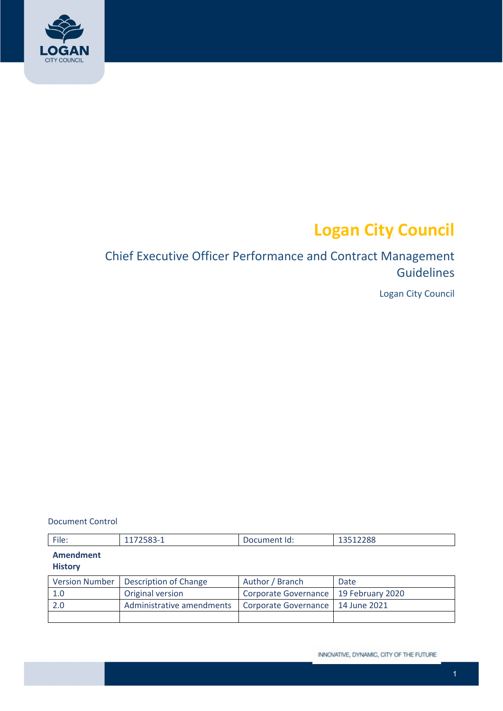

# **Logan City Council**

## Chief Executive Officer Performance and Contract Management Guidelines

Logan City Council

Document Control

| File: | 7702-7<br>المتعارض | ld:<br>und<br>.ne<br>91 I L | 12E12200<br><b>TOOTSYOO</b> |
|-------|--------------------|-----------------------------|-----------------------------|
|       |                    |                             |                             |

## **Amendment**

#### **History**

|      | Version Number   Description of Change | Author / Branch                         | Date |
|------|----------------------------------------|-----------------------------------------|------|
| 1.0  | Original version                       | Corporate Governance   19 February 2020 |      |
| -2.0 | Administrative amendments              | Corporate Governance   14 June 2021     |      |
|      |                                        |                                         |      |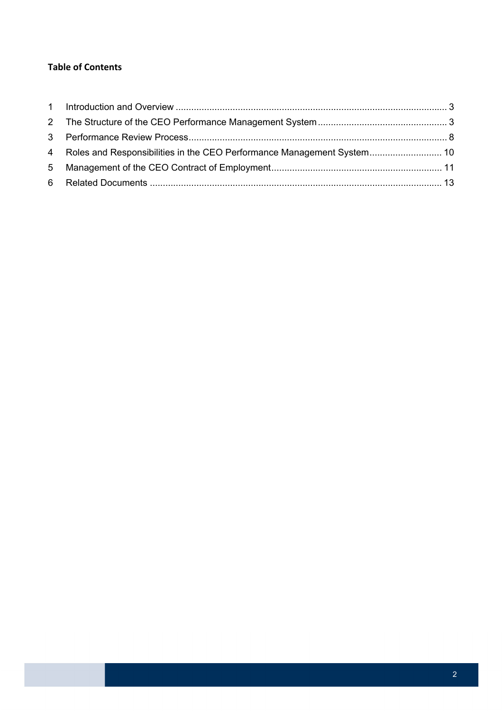#### **Table of Contents**

| 4 Roles and Responsibilities in the CEO Performance Management System 10 |  |
|--------------------------------------------------------------------------|--|
|                                                                          |  |
|                                                                          |  |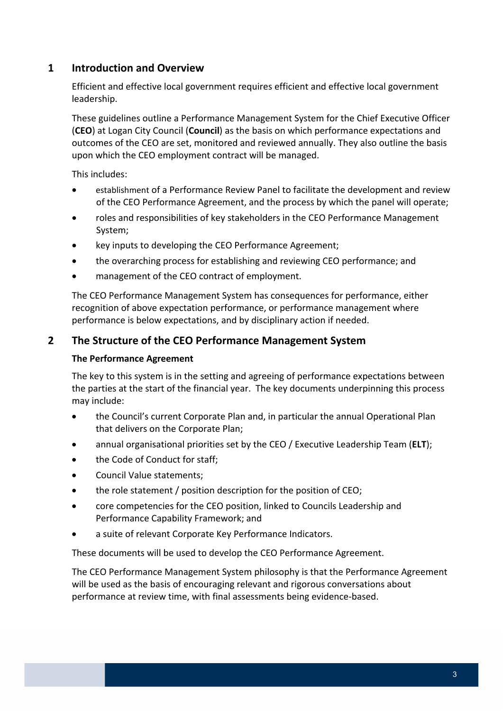## <span id="page-2-0"></span> **1 Introduction and Overview**

 Efficient and effective local government requires efficient and effective local government leadership.

 These guidelines outline a Performance Management System for the Chief Executive Officer (**CEO**) at Logan City Council (**Council**) as the basis on which performance expectations and outcomes of the CEO are set, monitored and reviewed annually. They also outline the basis upon which the CEO employment contract will be managed.

This includes:

- establishment of a Performance Review Panel to facilitate the development and review of the CEO Performance Agreement, and the process by which the panel will operate;
- roles and responsibilities of key stakeholders in the CEO Performance Management System;
- key inputs to developing the CEO Performance Agreement;
- the overarching process for establishing and reviewing CEO performance; and
- management of the CEO contract of employment.

 The CEO Performance Management System has consequences for performance, either recognition of above expectation performance, or performance management where performance is below expectations, and by disciplinary action if needed.

## **2 The Structure of the CEO Performance Management System**

#### **The Performance Agreement**

 The key to this system is in the setting and agreeing of performance expectations between the parties at the start of the financial year. The key documents underpinning this process may include:

- the Council's current Corporate Plan and, in particular the annual Operational Plan that delivers on the Corporate Plan;
- annual organisational priorities set by the CEO / Executive Leadership Team (**ELT**);
- the Code of Conduct for staff;
- **•** Council Value statements;
- the role statement / position description for the position of CEO;
- core competencies for the CEO position, linked to Councils Leadership and Performance Capability Framework; and
- a suite of relevant Corporate Key Performance Indicators.

These documents will be used to develop the CEO Performance Agreement.

 The CEO Performance Management System philosophy is that the Performance Agreement will be used as the basis of encouraging relevant and rigorous conversations about performance at review time, with final assessments being evidence‐based.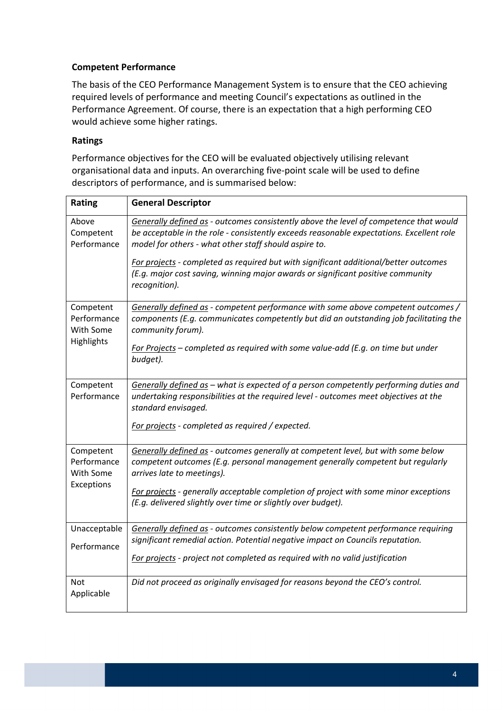#### **Competent Performance**

 The basis of the CEO Performance Management System is to ensure that the CEO achieving required levels of performance and meeting Council's expectations as outlined in the Performance Agreement. Of course, there is an expectation that a high performing CEO would achieve some higher ratings.

#### **Ratings**

 Performance objectives for the CEO will be evaluated objectively utilising relevant organisational data and inputs. An overarching five‐point scale will be used to define descriptors of performance, and is summarised below:

| Rating                                              | <b>General Descriptor</b>                                                                                                                                                                                                                  |
|-----------------------------------------------------|--------------------------------------------------------------------------------------------------------------------------------------------------------------------------------------------------------------------------------------------|
| Above<br>Competent<br>Performance                   | Generally defined as - outcomes consistently above the level of competence that would<br>be acceptable in the role - consistently exceeds reasonable expectations. Excellent role<br>model for others - what other staff should aspire to. |
|                                                     | For projects - completed as required but with significant additional/better outcomes<br>(E.g. major cost saving, winning major awards or significant positive community<br>recognition).                                                   |
| Competent<br>Performance<br>With Some<br>Highlights | Generally defined as - competent performance with some above competent outcomes /<br>components (E.g. communicates competently but did an outstanding job facilitating the<br>community forum).                                            |
|                                                     | For Projects - completed as required with some value-add (E.g. on time but under<br>budget).                                                                                                                                               |
| Competent<br>Performance                            | Generally defined as - what is expected of a person competently performing duties and                                                                                                                                                      |
|                                                     | undertaking responsibilities at the required level - outcomes meet objectives at the<br>standard envisaged.                                                                                                                                |
|                                                     | For projects - completed as required / expected.                                                                                                                                                                                           |
| Competent<br>Performance                            | Generally defined as - outcomes generally at competent level, but with some below<br>competent outcomes (E.g. personal management generally competent but regularly                                                                        |
| With Some                                           | arrives late to meetings).                                                                                                                                                                                                                 |
| Exceptions                                          | For projects - generally acceptable completion of project with some minor exceptions                                                                                                                                                       |
|                                                     | (E.g. delivered slightly over time or slightly over budget).                                                                                                                                                                               |
| Unacceptable                                        | Generally defined as - outcomes consistently below competent performance requiring                                                                                                                                                         |
| Performance                                         | significant remedial action. Potential negative impact on Councils reputation.                                                                                                                                                             |
|                                                     | For projects - project not completed as required with no valid justification                                                                                                                                                               |
| <b>Not</b><br>Applicable                            | Did not proceed as originally envisaged for reasons beyond the CEO's control.                                                                                                                                                              |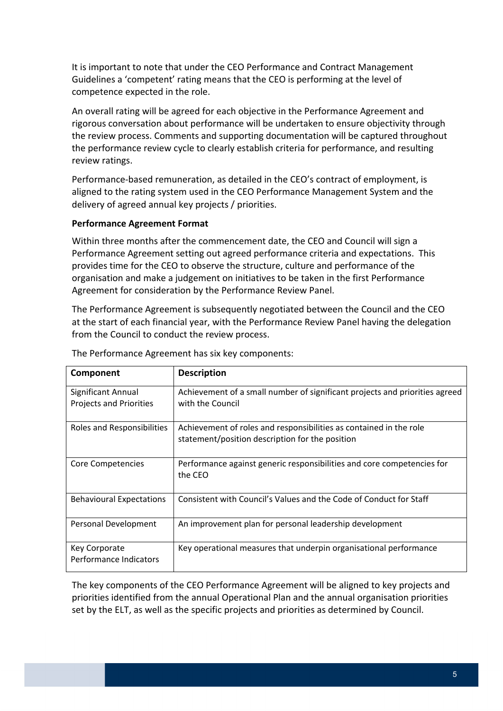It is important to note that under the CEO Performance and Contract Management Guidelines a 'competent' rating means that the CEO is performing at the level of competence expected in the role.

 An overall rating will be agreed for each objective in the Performance Agreement and rigorous conversation about performance will be undertaken to ensure objectivity through the review process. Comments and supporting documentation will be captured throughout the performance review cycle to clearly establish criteria for performance, and resulting review ratings.

 Performance‐based remuneration, as detailed in the CEO's contract of employment, is aligned to the rating system used in the CEO Performance Management System and the delivery of agreed annual key projects / priorities.

#### **Performance Agreement Format**

 Within three months after the commencement date, the CEO and Council will sign a Performance Agreement setting out agreed performance criteria and expectations. This provides time for the CEO to observe the structure, culture and performance of the organisation and make a judgement on initiatives to be taken in the first Performance Agreement for consideration by the Performance Review Panel.

 The Performance Agreement is subsequently negotiated between the Council and the CEO at the start of each financial year, with the Performance Review Panel having the delegation from the Council to conduct the review process.

| Component                       | <b>Description</b>                                                                |
|---------------------------------|-----------------------------------------------------------------------------------|
| <b>Significant Annual</b>       | Achievement of a small number of significant projects and priorities agreed       |
| <b>Projects and Priorities</b>  | with the Council                                                                  |
| Roles and Responsibilities      | Achievement of roles and responsibilities as contained in the role                |
|                                 | statement/position description for the position                                   |
| Core Competencies               | Performance against generic responsibilities and core competencies for<br>the CEO |
|                                 |                                                                                   |
| <b>Behavioural Expectations</b> | Consistent with Council's Values and the Code of Conduct for Staff                |
| Personal Development            | An improvement plan for personal leadership development                           |
| Key Corporate                   | Key operational measures that underpin organisational performance                 |
| Performance Indicators          |                                                                                   |

The Performance Agreement has six key components:

 The key components of the CEO Performance Agreement will be aligned to key projects and priorities identified from the annual Operational Plan and the annual organisation priorities set by the ELT, as well as the specific projects and priorities as determined by Council.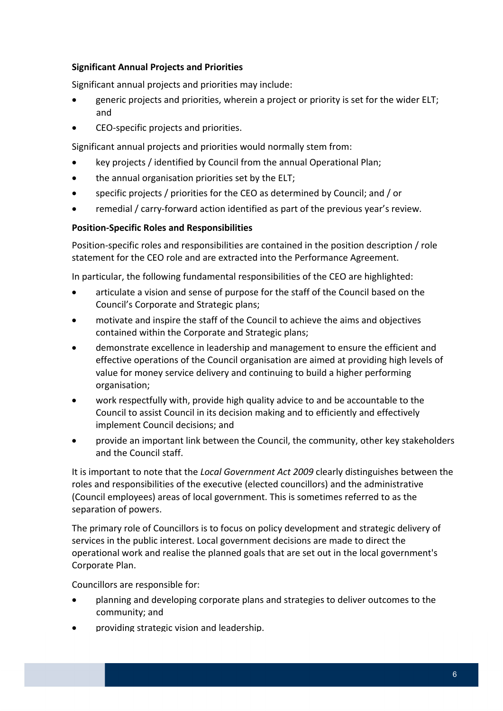#### **Significant Annual Projects and Priorities**

Significant annual projects and priorities may include:

- **•** generic projects and priorities, wherein a project or priority is set for the wider ELT; and
- CEO-specific projects and priorities.

Significant annual projects and priorities would normally stem from:

- key projects / identified by Council from the annual Operational Plan;
- the annual organisation priorities set by the ELT;
- specific projects / priorities for the CEO as determined by Council; and / or
- remedial / carry‐forward action identified as part of the previous year's review.

#### **Position‐Specific Roles and Responsibilities**

 Position‐specific roles and responsibilities are contained in the position description / role statement for the CEO role and are extracted into the Performance Agreement.

In particular, the following fundamental responsibilities of the CEO are highlighted:

- articulate a vision and sense of purpose for the staff of the Council based on the Council's Corporate and Strategic plans;
- motivate and inspire the staff of the Council to achieve the aims and objectives contained within the Corporate and Strategic plans;
- demonstrate excellence in leadership and management to ensure the efficient and effective operations of the Council organisation are aimed at providing high levels of value for money service delivery and continuing to build a higher performing organisation;
- work respectfully with, provide high quality advice to and be accountable to the Council to assist Council in its decision making and to efficiently and effectively implement Council decisions; and
- provide an important link between the Council, the community, other key stakeholders and the Council staff.

  It is important to note that the *Local Government Act 2009* clearly distinguishes between the roles and responsibilities of the executive (elected councillors) and the administrative (Council employees) areas of local government. This is sometimes referred to as the separation of powers.

 The primary role of Councillors is to focus on policy development and strategic delivery of services in the public interest. Local government decisions are made to direct the operational work and realise the planned goals that are set out in the local government's Corporate Plan.

Councillors are responsible for:

- planning and developing corporate plans and strategies to deliver outcomes to the community; and
- providing strategic vision and leadership.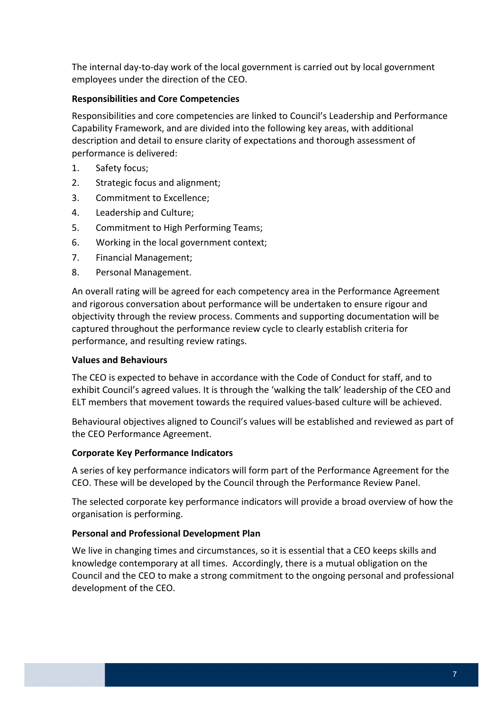The internal day‐to‐day work of the local government is carried out by local government employees under the direction of the CEO.

#### **Responsibilities and Core Competencies**

 Responsibilities and core competencies are linked to Council's Leadership and Performance Capability Framework, and are divided into the following key areas, with additional description and detail to ensure clarity of expectations and thorough assessment of performance is delivered:

- 1. Safety focus;
- 2. Strategic focus and alignment;
- 3. Commitment to Excellence;
- 4. Leadership and Culture;
- 5. Commitment to High Performing Teams;
- 6. Working in the local government context;
- 7. Financial Management;
- 8. Personal Management.

 An overall rating will be agreed for each competency area in the Performance Agreement and rigorous conversation about performance will be undertaken to ensure rigour and objectivity through the review process. Comments and supporting documentation will be captured throughout the performance review cycle to clearly establish criteria for performance, and resulting review ratings.

#### **Values and Behaviours**

 The CEO is expected to behave in accordance with the Code of Conduct for staff, and to exhibit Council's agreed values. It is through the 'walking the talk' leadership of the CEO and ELT members that movement towards the required values‐based culture will be achieved.

 Behavioural objectives aligned to Council's values will be established and reviewed as part of the CEO Performance Agreement.

#### **Corporate Key Performance Indicators**

 A series of key performance indicators will form part of the Performance Agreement for the CEO. These will be developed by the Council through the Performance Review Panel.

 The selected corporate key performance indicators will provide a broad overview of how the organisation is performing.

#### **Personal and Professional Development Plan**

 We live in changing times and circumstances, so it is essential that a CEO keeps skills and knowledge contemporary at all times. Accordingly, there is a mutual obligation on the Council and the CEO to make a strong commitment to the ongoing personal and professional development of the CEO.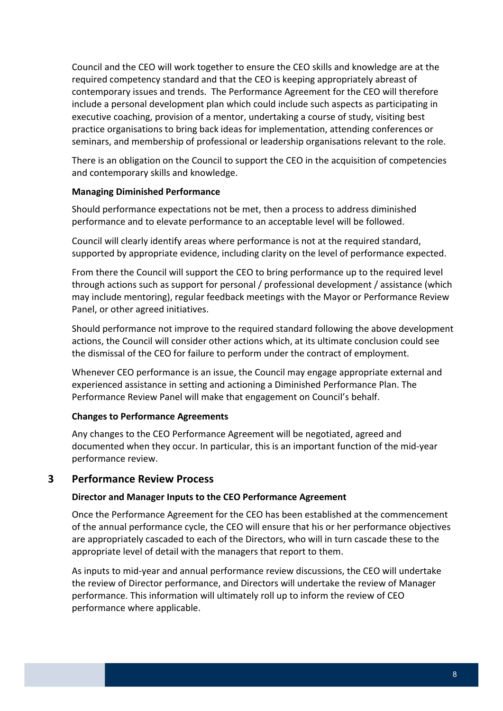<span id="page-7-0"></span> Council and the CEO will work together to ensure the CEO skills and knowledge are at the required competency standard and that the CEO is keeping appropriately abreast of contemporary issues and trends. The Performance Agreement for the CEO will therefore include a personal development plan which could include such aspects as participating in executive coaching, provision of a mentor, undertaking a course of study, visiting best practice organisations to bring back ideas for implementation, attending conferences or seminars, and membership of professional or leadership organisations relevant to the role.

 There is an obligation on the Council to support the CEO in the acquisition of competencies and contemporary skills and knowledge.

#### **Managing Diminished Performance**

 Should performance expectations not be met, then a process to address diminished performance and to elevate performance to an acceptable level will be followed.

 Council will clearly identify areas where performance is not at the required standard, supported by appropriate evidence, including clarity on the level of performance expected.

 From there the Council will support the CEO to bring performance up to the required level through actions such as support for personal / professional development / assistance (which may include mentoring), regular feedback meetings with the Mayor or Performance Review Panel, or other agreed initiatives.

 Should performance not improve to the required standard following the above development actions, the Council will consider other actions which, at its ultimate conclusion could see the dismissal of the CEO for failure to perform under the contract of employment.

 Whenever CEO performance is an issue, the Council may engage appropriate external and experienced assistance in setting and actioning a Diminished Performance Plan. The Performance Review Panel will make that engagement on Council's behalf.

#### **Changes to Performance Agreements**

 Any changes to the CEO Performance Agreement will be negotiated, agreed and documented when they occur. In particular, this is an important function of the mid‐year performance review.

## **3 Performance Review Process**

#### **Director and Manager Inputs to the CEO Performance Agreement**

 Once the Performance Agreement for the CEO has been established at the commencement of the annual performance cycle, the CEO will ensure that his or her performance objectives are appropriately cascaded to each of the Directors, who will in turn cascade these to the appropriate level of detail with the managers that report to them.

 As inputs to mid‐year and annual performance review discussions, the CEO will undertake the review of Director performance, and Directors will undertake the review of Manager performance. This information will ultimately roll up to inform the review of CEO performance where applicable.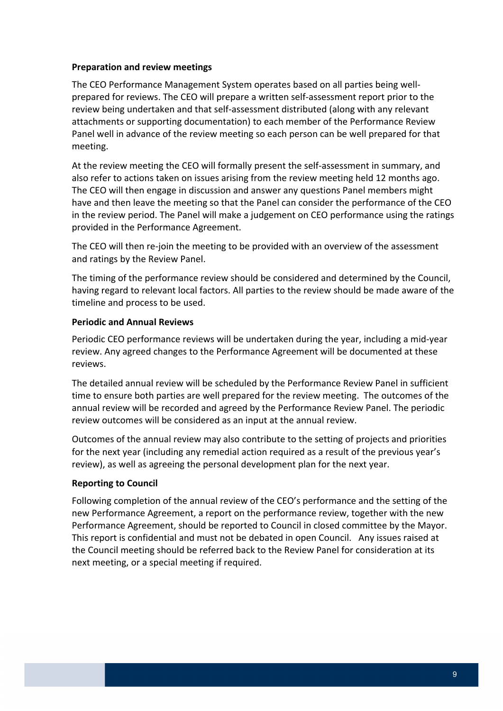#### **Preparation and review meetings**

 The CEO Performance Management System operates based on all parties being well‐ prepared for reviews. The CEO will prepare a written self‐assessment report prior to the review being undertaken and that self‐assessment distributed (along with any relevant attachments or supporting documentation) to each member of the Performance Review Panel well in advance of the review meeting so each person can be well prepared for that meeting.

 At the review meeting the CEO will formally present the self‐assessment in summary, and also refer to actions taken on issues arising from the review meeting held 12 months ago. The CEO will then engage in discussion and answer any questions Panel members might have and then leave the meeting so that the Panel can consider the performance of the CEO in the review period. The Panel will make a judgement on CEO performance using the ratings provided in the Performance Agreement.

 The CEO will then re‐join the meeting to be provided with an overview of the assessment and ratings by the Review Panel.

 The timing of the performance review should be considered and determined by the Council, having regard to relevant local factors. All parties to the review should be made aware of the timeline and process to be used.

#### **Periodic and Annual Reviews**

 Periodic CEO performance reviews will be undertaken during the year, including a mid‐year review. Any agreed changes to the Performance Agreement will be documented at these reviews.

 The detailed annual review will be scheduled by the Performance Review Panel in sufficient time to ensure both parties are well prepared for the review meeting. The outcomes of the annual review will be recorded and agreed by the Performance Review Panel. The periodic review outcomes will be considered as an input at the annual review.

 Outcomes of the annual review may also contribute to the setting of projects and priorities for the next year (including any remedial action required as a result of the previous year's review), as well as agreeing the personal development plan for the next year.

#### **Reporting to Council**

 Following completion of the annual review of the CEO's performance and the setting of the new Performance Agreement, a report on the performance review, together with the new Performance Agreement, should be reported to Council in closed committee by the Mayor. This report is confidential and must not be debated in open Council. Any issues raised at the Council meeting should be referred back to the Review Panel for consideration at its next meeting, or a special meeting if required.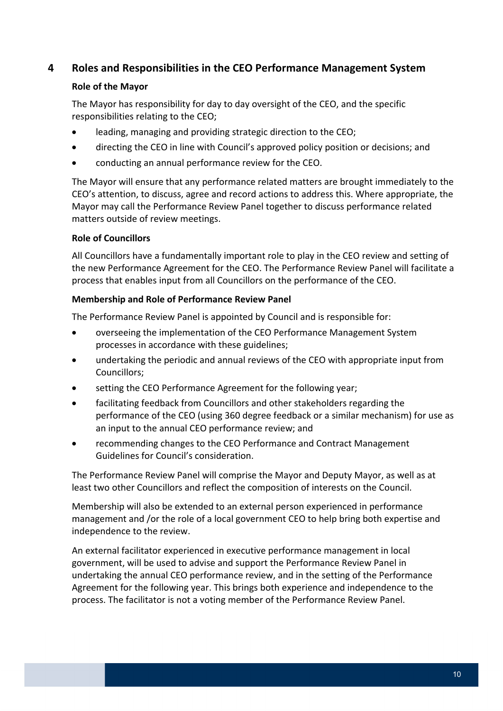## <span id="page-9-0"></span> **4 Roles and Responsibilities in the CEO Performance Management System**

#### **Role of the Mayor**

 The Mayor has responsibility for day to day oversight of the CEO, and the specific responsibilities relating to the CEO;

- leading, managing and providing strategic direction to the CEO;
- directing the CEO in line with Council's approved policy position or decisions; and
- conducting an annual performance review for the CEO.

 The Mayor will ensure that any performance related matters are brought immediately to the CEO's attention, to discuss, agree and record actions to address this. Where appropriate, the Mayor may call the Performance Review Panel together to discuss performance related matters outside of review meetings.

#### **Role of Councillors**

 All Councillors have a fundamentally important role to play in the CEO review and setting of the new Performance Agreement for the CEO. The Performance Review Panel will facilitate a process that enables input from all Councillors on the performance of the CEO.

#### **Membership and Role of Performance Review Panel**

The Performance Review Panel is appointed by Council and is responsible for:

- overseeing the implementation of the CEO Performance Management System processes in accordance with these guidelines;
- undertaking the periodic and annual reviews of the CEO with appropriate input from Councillors;
- **•** setting the CEO Performance Agreement for the following year;
- facilitating feedback from Councillors and other stakeholders regarding the performance of the CEO (using 360 degree feedback or a similar mechanism) for use as an input to the annual CEO performance review; and
- recommending changes to the CEO Performance and Contract Management Guidelines for Council's consideration.

 The Performance Review Panel will comprise the Mayor and Deputy Mayor, as well as at least two other Councillors and reflect the composition of interests on the Council.

 Membership will also be extended to an external person experienced in performance management and /or the role of a local government CEO to help bring both expertise and independence to the review.

 An external facilitator experienced in executive performance management in local government, will be used to advise and support the Performance Review Panel in undertaking the annual CEO performance review, and in the setting of the Performance Agreement for the following year. This brings both experience and independence to the process. The facilitator is not a voting member of the Performance Review Panel.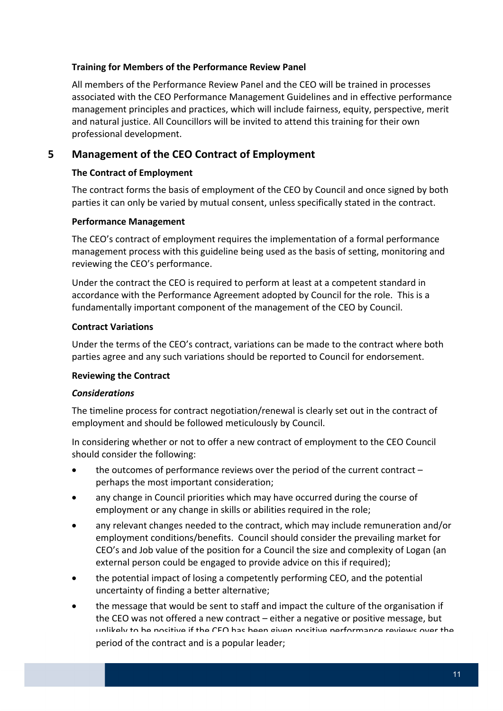#### <span id="page-10-0"></span> **Training for Members of the Performance Review Panel**

 All members of the Performance Review Panel and the CEO will be trained in processes associated with the CEO Performance Management Guidelines and in effective performance management principles and practices, which will include fairness, equity, perspective, merit and natural justice. All Councillors will be invited to attend this training for their own professional development.

## **5 Management of the CEO Contract of Employment**

#### **The Contract of Employment**

 The contract forms the basis of employment of the CEO by Council and once signed by both parties it can only be varied by mutual consent, unless specifically stated in the contract.

#### **Performance Management**

 The CEO's contract of employment requires the implementation of a formal performance management process with this guideline being used as the basis of setting, monitoring and reviewing the CEO's performance.

 Under the contract the CEO is required to perform at least at a competent standard in accordance with the Performance Agreement adopted by Council for the role. This is a fundamentally important component of the management of the CEO by Council.

#### **Contract Variations**

 Under the terms of the CEO's contract, variations can be made to the contract where both parties agree and any such variations should be reported to Council for endorsement.

#### **Reviewing the Contract**

#### *Considerations*

 The timeline process for contract negotiation/renewal is clearly set out in the contract of employment and should be followed meticulously by Council.

 In considering whether or not to offer a new contract of employment to the CEO Council should consider the following:

- the outcomes of performance reviews over the period of the current contract -perhaps the most important consideration;
- any change in Council priorities which may have occurred during the course of employment or any change in skills or abilities required in the role;
- any relevant changes needed to the contract, which may include remuneration and/or employment conditions/benefits. Council should consider the prevailing market for CEO's and Job value of the position for a Council the size and complexity of Logan (an external person could be engaged to provide advice on this if required);
- the potential impact of losing a competently performing CEO, and the potential uncertainty of finding a better alternative;
- the message that would be sent to staff and impact the culture of the organisation if the CEO was not offered a new contract – either a negative or positive message, but unlikaly to be nositive if the CEO has been given nositive performance reviews over the  $\overline{\phantom{a}}$ period of the contract and is a popular leader;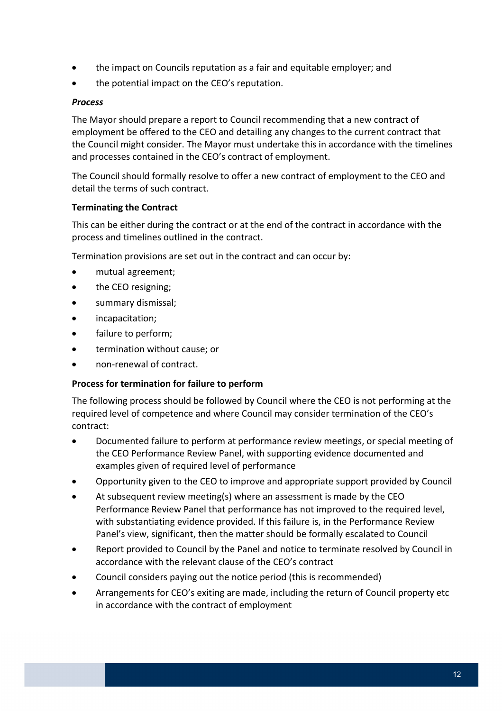- the impact on Councils reputation as a fair and equitable employer; and
- the potential impact on the CEO's reputation.

#### *Process*

 The Mayor should prepare a report to Council recommending that a new contract of employment be offered to the CEO and detailing any changes to the current contract that the Council might consider. The Mayor must undertake this in accordance with the timelines and processes contained in the CEO's contract of employment.

 The Council should formally resolve to offer a new contract of employment to the CEO and detail the terms of such contract.

#### **Terminating the Contract**

 This can be either during the contract or at the end of the contract in accordance with the process and timelines outlined in the contract.

Termination provisions are set out in the contract and can occur by:

- mutual agreement;
- the CEO resigning;
- summary dismissal;
- incapacitation;
- failure to perform;
- **•** termination without cause; or
- non-renewal of contract.

#### **Process for termination for failure to perform**

 The following process should be followed by Council where the CEO is not performing at the required level of competence and where Council may consider termination of the CEO's contract:

- Documented failure to perform at performance review meetings, or special meeting of the CEO Performance Review Panel, with supporting evidence documented and examples given of required level of performance
- Opportunity given to the CEO to improve and appropriate support provided by Council
- At subsequent review meeting(s) where an assessment is made by the CEO Performance Review Panel that performance has not improved to the required level, with substantiating evidence provided. If this failure is, in the Performance Review Panel's view, significant, then the matter should be formally escalated to Council
- Report provided to Council by the Panel and notice to terminate resolved by Council in accordance with the relevant clause of the CEO's contract
- Council considers paying out the notice period (this is recommended)
- Arrangements for CEO's exiting are made, including the return of Council property etc in accordance with the contract of employment